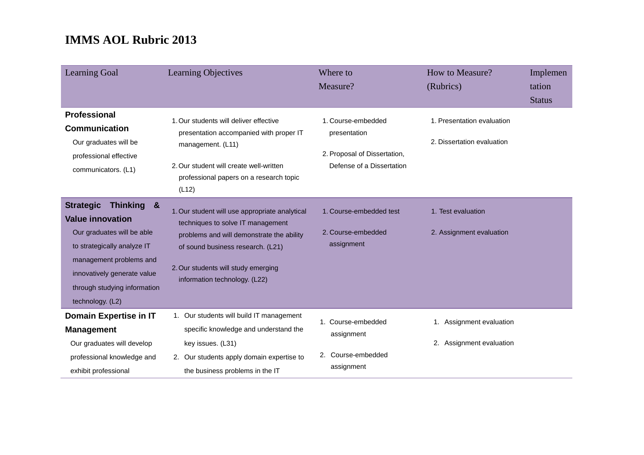| <b>Learning Goal</b>                                                                                                                                                                                                                                      | <b>Learning Objectives</b>                                                                                                                                                                                                                    | Where to<br>Measure?                                                                            | How to Measure?<br>(Rubrics)                             | Implemen<br>tation<br><b>Status</b> |
|-----------------------------------------------------------------------------------------------------------------------------------------------------------------------------------------------------------------------------------------------------------|-----------------------------------------------------------------------------------------------------------------------------------------------------------------------------------------------------------------------------------------------|-------------------------------------------------------------------------------------------------|----------------------------------------------------------|-------------------------------------|
| <b>Professional</b><br><b>Communication</b><br>Our graduates will be<br>professional effective<br>communicators. (L1)                                                                                                                                     | 1. Our students will deliver effective<br>presentation accompanied with proper IT<br>management. (L11)<br>2. Our student will create well-written<br>professional papers on a research topic<br>(L12)                                         | 1. Course-embedded<br>presentation<br>2. Proposal of Dissertation,<br>Defense of a Dissertation | 1. Presentation evaluation<br>2. Dissertation evaluation |                                     |
| <b>Strategic</b><br><b>Thinking</b><br>$\mathbf{g}$<br><b>Value innovation</b><br>Our graduates will be able<br>to strategically analyze IT<br>management problems and<br>innovatively generate value<br>through studying information<br>technology. (L2) | 1. Our student will use appropriate analytical<br>techniques to solve IT management<br>problems and will demonstrate the ability<br>of sound business research. (L21)<br>2. Our students will study emerging<br>information technology. (L22) | 1. Course-embedded test<br>2. Course-embedded<br>assignment                                     | 1. Test evaluation<br>2. Assignment evaluation           |                                     |
| Domain Expertise in IT<br><b>Management</b><br>Our graduates will develop<br>professional knowledge and<br>exhibit professional                                                                                                                           | 1. Our students will build IT management<br>specific knowledge and understand the<br>key issues. (L31)<br>2. Our students apply domain expertise to<br>the business problems in the IT                                                        | 1. Course-embedded<br>assignment<br>2. Course-embedded<br>assignment                            | Assignment evaluation<br>2. Assignment evaluation        |                                     |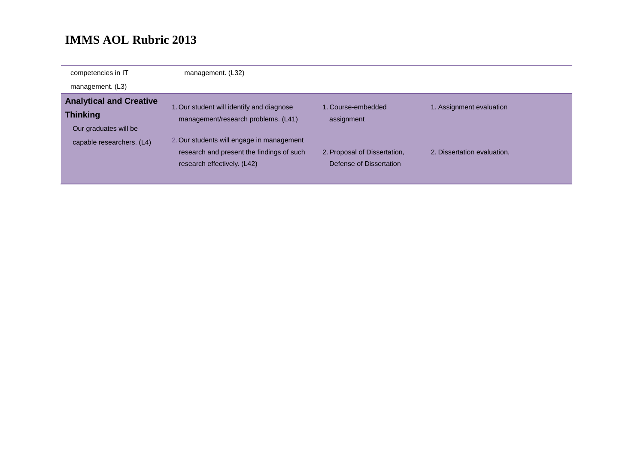| competencies in IT             | management. (L32)                         |                              |                             |
|--------------------------------|-------------------------------------------|------------------------------|-----------------------------|
| management. (L3)               |                                           |                              |                             |
| <b>Analytical and Creative</b> | 1. Our student will identify and diagnose | 1. Course-embedded           | 1. Assignment evaluation    |
| <b>Thinking</b>                | management/research problems. (L41)       | assignment                   |                             |
| Our graduates will be          |                                           |                              |                             |
| capable researchers. (L4)      | 2. Our students will engage in management |                              |                             |
|                                | research and present the findings of such | 2. Proposal of Dissertation, | 2. Dissertation evaluation. |
|                                | research effectively. (L42)               | Defense of Dissertation      |                             |
|                                |                                           |                              |                             |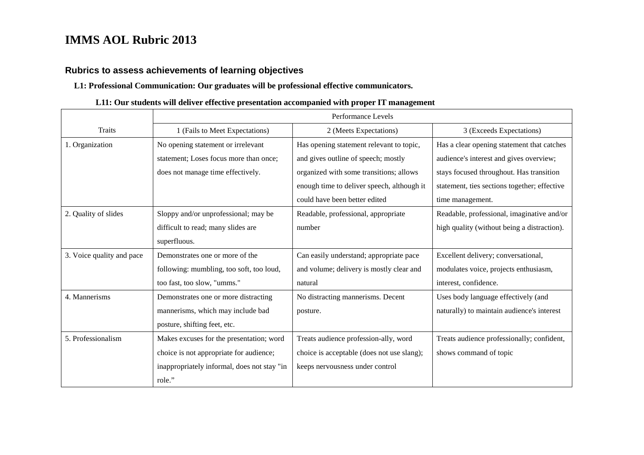## **Rubrics to assess achievements of learning objectives**

#### **L1: Professional Communication: Our graduates will be professional effective communicators.**

### **L11: Our students will deliver effective presentation accompanied with proper IT management**

|                           | Performance Levels                          |                                            |                                              |  |
|---------------------------|---------------------------------------------|--------------------------------------------|----------------------------------------------|--|
| <b>Traits</b>             | 1 (Fails to Meet Expectations)              | 2 (Meets Expectations)                     | 3 (Exceeds Expectations)                     |  |
| 1. Organization           | No opening statement or irrelevant          | Has opening statement relevant to topic,   | Has a clear opening statement that catches   |  |
|                           | statement; Loses focus more than once;      | and gives outline of speech; mostly        | audience's interest and gives overview;      |  |
|                           | does not manage time effectively.           | organized with some transitions; allows    | stays focused throughout. Has transition     |  |
|                           |                                             | enough time to deliver speech, although it | statement, ties sections together; effective |  |
|                           |                                             | could have been better edited              | time management.                             |  |
| 2. Quality of slides      | Sloppy and/or unprofessional; may be        | Readable, professional, appropriate        | Readable, professional, imaginative and/or   |  |
|                           | difficult to read; many slides are          | number                                     | high quality (without being a distraction).  |  |
|                           | superfluous.                                |                                            |                                              |  |
| 3. Voice quality and pace | Demonstrates one or more of the             | Can easily understand; appropriate pace    | Excellent delivery; conversational,          |  |
|                           | following: mumbling, too soft, too loud,    | and volume; delivery is mostly clear and   | modulates voice, projects enthusiasm,        |  |
|                           | too fast, too slow, "umms."                 | natural                                    | interest, confidence.                        |  |
| 4. Mannerisms             | Demonstrates one or more distracting        | No distracting mannerisms. Decent          | Uses body language effectively (and          |  |
|                           | mannerisms, which may include bad           | posture.                                   | naturally) to maintain audience's interest   |  |
|                           | posture, shifting feet, etc.                |                                            |                                              |  |
| 5. Professionalism        | Makes excuses for the presentation; word    | Treats audience profession-ally, word      | Treats audience professionally; confident,   |  |
|                           | choice is not appropriate for audience;     | choice is acceptable (does not use slang); | shows command of topic                       |  |
|                           | inappropriately informal, does not stay "in | keeps nervousness under control            |                                              |  |
|                           | role."                                      |                                            |                                              |  |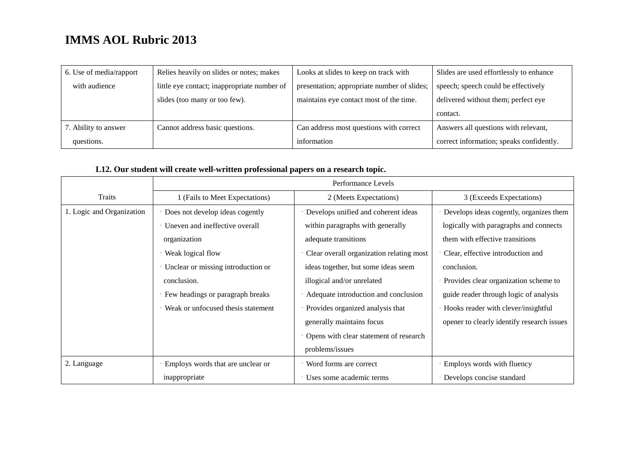| 6. Use of media/rapport | Relies heavily on slides or notes; makes    | Looks at slides to keep on track with       | Slides are used effortlessly to enhance  |
|-------------------------|---------------------------------------------|---------------------------------------------|------------------------------------------|
| with audience           | little eye contact; inappropriate number of | presentation; appropriate number of slides; | speech; speech could be effectively      |
|                         | slides (too many or too few).               | maintains eye contact most of the time.     | delivered without them; perfect eye      |
|                         |                                             |                                             | contact.                                 |
| 7. Ability to answer    | Cannot address basic questions.             | Can address most questions with correct     | Answers all questions with relevant,     |
| questions.              |                                             | information                                 | correct information; speaks confidently. |

## **L12. Our student will create well-written professional papers on a research topic.**

|                           | Performance Levels                 |                                          |                                            |
|---------------------------|------------------------------------|------------------------------------------|--------------------------------------------|
| <b>Traits</b>             | 1 (Fails to Meet Expectations)     | 2 (Meets Expectations)                   | 3 (Exceeds Expectations)                   |
| 1. Logic and Organization | Does not develop ideas cogently    | · Develops unified and coherent ideas    | Develops ideas cogently, organizes them    |
|                           | Uneven and ineffective overall     | within paragraphs with generally         | logically with paragraphs and connects     |
|                           | organization                       | adequate transitions                     | them with effective transitions            |
|                           | Weak logical flow                  | Clear overall organization relating most | Clear, effective introduction and          |
|                           | Unclear or missing introduction or | ideas together, but some ideas seem      | conclusion.                                |
|                           | conclusion.                        | illogical and/or unrelated               | Provides clear organization scheme to      |
|                           | Few headings or paragraph breaks   | · Adequate introduction and conclusion   | guide reader through logic of analysis     |
|                           | Weak or unfocused thesis statement | Provides organized analysis that         | Hooks reader with clever/insightful        |
|                           |                                    | generally maintains focus                | opener to clearly identify research issues |
|                           |                                    | Opens with clear statement of research   |                                            |
|                           |                                    | problems/issues                          |                                            |
| 2. Language               | Employs words that are unclear or  | Word forms are correct                   | Employs words with fluency                 |
|                           | inappropriate                      | Uses some academic terms                 | Develops concise standard                  |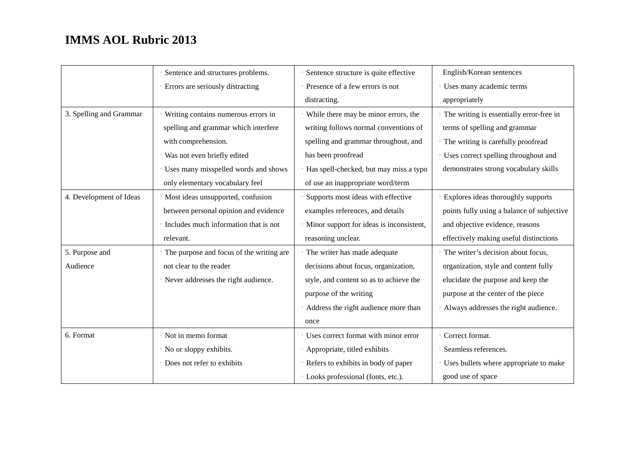|                         | Sentence and structures problems.        | Sentence structure is quite effective      | English/Korean sentences                   |
|-------------------------|------------------------------------------|--------------------------------------------|--------------------------------------------|
|                         | Errors are seriously distracting         | Presence of a few errors is not            | Uses many academic terms                   |
|                         |                                          | distracting.                               | appropriately                              |
| 3. Spelling and Grammar | Writing contains numerous errors in      | · While there may be minor errors, the     | · The writing is essentially error-free in |
|                         | spelling and grammar which interfere     | writing follows normal conventions of      | terms of spelling and grammar              |
|                         | with comprehension.                      | spelling and grammar throughout, and       | · The writing is carefully proofread       |
|                         | · Was not even briefly edited            | has been proofread                         | · Uses correct spelling throughout and     |
|                         | Uses many misspelled words and shows     | · Has spell-checked, but may miss a typo   | demonstrates strong vocabulary skills      |
|                         | only elementary vocabulary feel          | of use an inappropriate word/term          |                                            |
| 4. Development of Ideas | · Most ideas unsupported, confusion      | Supports most ideas with effective         | Explores ideas thoroughly supports         |
|                         | between personal opinion and evidence    | examples references, and details           | points fully using a balance of subjective |
|                         | Includes much information that is not    | · Minor support for ideas is inconsistent, | and objective evidence, reasons            |
|                         | relevant.                                | reasoning unclear.                         | effectively making useful distinctions     |
| 5. Purpose and          | The purpose and focus of the writing are | · The writer has made adequate             | · The writer's decision about focus,       |
| Audience                | not clear to the reader                  | decisions about focus, organization,       | organization, style and content fully      |
|                         | · Never addresses the right audience.    | style, and content so as to achieve the    | elucidate the purpose and keep the         |
|                         |                                          | purpose of the writing                     | purpose at the center of the piece         |
|                         |                                          | Address the right audience more than       | Always addresses the right audience.       |
|                         |                                          | once                                       |                                            |
| 6. Format               | · Not in memo format                     | · Uses correct format with minor error     | Correct format.                            |
|                         | · No or sloppy exhibits.                 | · Appropriate, titled exhibits             | Seamless references.                       |
|                         | Does not refer to exhibits               | · Refers to exhibits in body of paper      | · Uses bullets where appropriate to make   |
|                         |                                          | · Looks professional (fonts, etc.).        | good use of space                          |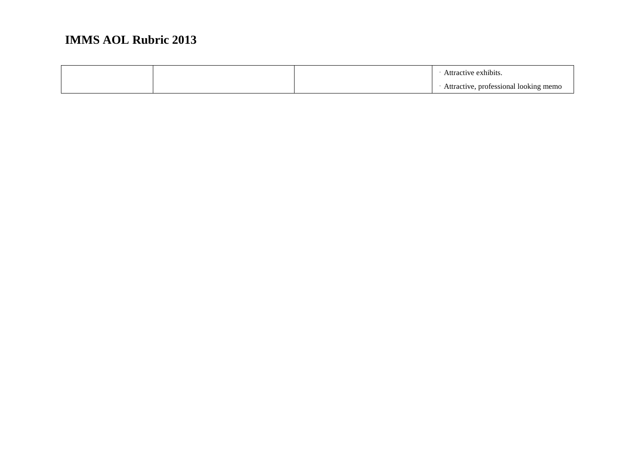|  | tive exhibits:                                     |
|--|----------------------------------------------------|
|  | ofessional looking<br>erne.<br>$1$ iteration.<br>. |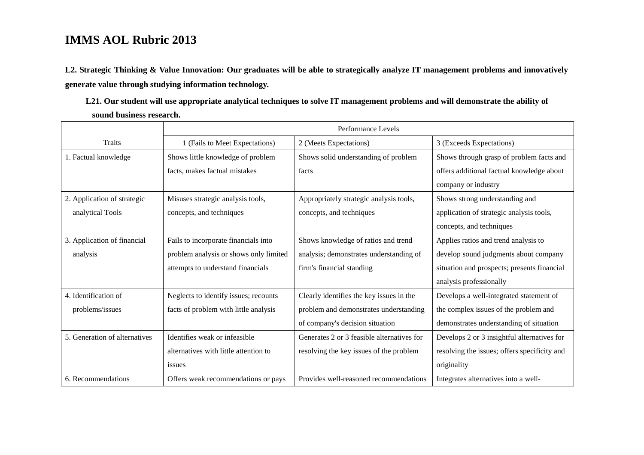**L2. Strategic Thinking & Value Innovation: Our graduates will be able to strategically analyze IT management problems and innovatively generate value through studying information technology.** 

**L21. Our student will use appropriate analytical techniques to solve IT management problems and will demonstrate the ability of sound business research.**

|                               | Performance Levels                     |                                            |                                              |
|-------------------------------|----------------------------------------|--------------------------------------------|----------------------------------------------|
| <b>Traits</b>                 | 1 (Fails to Meet Expectations)         | 2 (Meets Expectations)                     | 3 (Exceeds Expectations)                     |
| 1. Factual knowledge          | Shows little knowledge of problem      | Shows solid understanding of problem       | Shows through grasp of problem facts and     |
|                               | facts, makes factual mistakes          | facts                                      | offers additional factual knowledge about    |
|                               |                                        |                                            | company or industry                          |
| 2. Application of strategic   | Misuses strategic analysis tools,      | Appropriately strategic analysis tools,    | Shows strong understanding and               |
| analytical Tools              | concepts, and techniques               | concepts, and techniques                   | application of strategic analysis tools,     |
|                               |                                        |                                            | concepts, and techniques                     |
| 3. Application of financial   | Fails to incorporate financials into   | Shows knowledge of ratios and trend        | Applies ratios and trend analysis to         |
| analysis                      | problem analysis or shows only limited | analysis; demonstrates understanding of    | develop sound judgments about company        |
|                               | attempts to understand financials      | firm's financial standing                  | situation and prospects; presents financial  |
|                               |                                        |                                            | analysis professionally                      |
| 4. Identification of          | Neglects to identify issues; recounts  | Clearly identifies the key issues in the   | Develops a well-integrated statement of      |
| problems/issues               | facts of problem with little analysis  | problem and demonstrates understanding     | the complex issues of the problem and        |
|                               |                                        | of company's decision situation            | demonstrates understanding of situation      |
| 5. Generation of alternatives | Identifies weak or infeasible.         | Generates 2 or 3 feasible alternatives for | Develops 2 or 3 insightful alternatives for  |
|                               | alternatives with little attention to  | resolving the key issues of the problem    | resolving the issues; offers specificity and |
|                               | issues                                 |                                            | originality                                  |
| 6. Recommendations            | Offers weak recommendations or pays    | Provides well-reasoned recommendations     | Integrates alternatives into a well-         |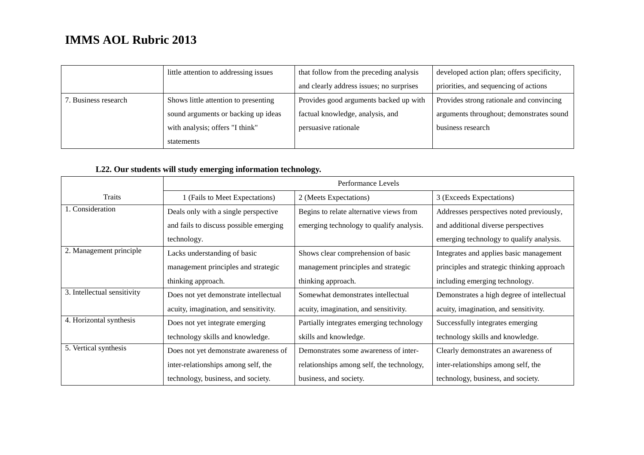|                      | little attention to addressing issues | that follow from the preceding analysis  | developed action plan; offers specificity, |
|----------------------|---------------------------------------|------------------------------------------|--------------------------------------------|
|                      |                                       | and clearly address issues; no surprises | priorities, and sequencing of actions      |
| 7. Business research | Shows little attention to presenting  | Provides good arguments backed up with   | Provides strong rationale and convincing   |
|                      | sound arguments or backing up ideas   | factual knowledge, analysis, and         | arguments throughout; demonstrates sound   |
|                      | with analysis; offers "I think"       | persuasive rationale                     | business research                          |
|                      | statements                            |                                          |                                            |

### **L22. Our students will study emerging information technology.**

|                             | Performance Levels                     |                                           |                                            |
|-----------------------------|----------------------------------------|-------------------------------------------|--------------------------------------------|
| Traits                      | 1 (Fails to Meet Expectations)         | 2 (Meets Expectations)                    | 3 (Exceeds Expectations)                   |
| 1. Consideration            | Deals only with a single perspective   | Begins to relate alternative views from   | Addresses perspectives noted previously,   |
|                             | and fails to discuss possible emerging | emerging technology to qualify analysis.  | and additional diverse perspectives        |
|                             | technology.                            |                                           | emerging technology to qualify analysis.   |
| 2. Management principle     | Lacks understanding of basic           | Shows clear comprehension of basic        | Integrates and applies basic management    |
|                             | management principles and strategic    | management principles and strategic       | principles and strategic thinking approach |
|                             | thinking approach.                     | thinking approach.                        | including emerging technology.             |
| 3. Intellectual sensitivity | Does not yet demonstrate intellectual  | Somewhat demonstrates intellectual        | Demonstrates a high degree of intellectual |
|                             | acuity, imagination, and sensitivity.  | acuity, imagination, and sensitivity.     | acuity, imagination, and sensitivity.      |
| 4. Horizontal synthesis     | Does not yet integrate emerging        | Partially integrates emerging technology  | Successfully integrates emerging           |
|                             | technology skills and knowledge.       | skills and knowledge.                     | technology skills and knowledge.           |
| 5. Vertical synthesis       | Does not yet demonstrate awareness of  | Demonstrates some awareness of inter-     | Clearly demonstrates an awareness of       |
|                             | inter-relationships among self, the    | relationships among self, the technology, | inter-relationships among self, the        |
|                             | technology, business, and society.     | business, and society.                    | technology, business, and society.         |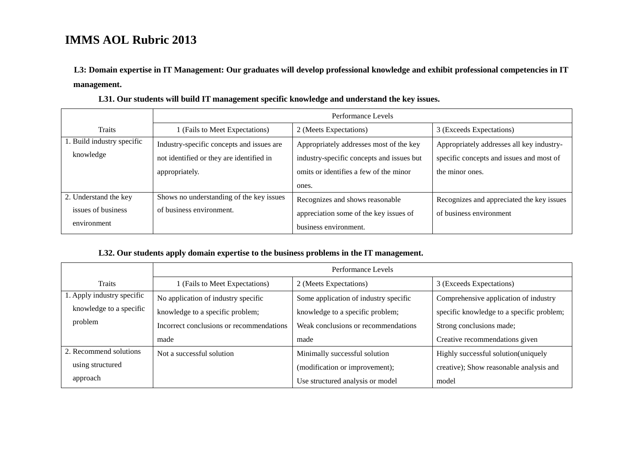**L3: Domain expertise in IT Management: Our graduates will develop professional knowledge and exhibit professional competencies in IT management.**

|                            | Performance Levels                        |                                           |                                           |  |
|----------------------------|-------------------------------------------|-------------------------------------------|-------------------------------------------|--|
| Traits                     | 1 (Fails to Meet Expectations)            | 2 (Meets Expectations)                    | 3 (Exceeds Expectations)                  |  |
| 1. Build industry specific | Industry-specific concepts and issues are | Appropriately addresses most of the key   | Appropriately addresses all key industry- |  |
| knowledge                  | not identified or they are identified in  | industry-specific concepts and issues but | specific concepts and issues and most of  |  |
|                            | appropriately.                            | omits or identifies a few of the minor    | the minor ones.                           |  |
|                            |                                           | ones.                                     |                                           |  |
| 2. Understand the key      | Shows no understanding of the key issues  | Recognizes and shows reasonable           | Recognizes and appreciated the key issues |  |
| issues of business         | of business environment.                  | appreciation some of the key issues of    | of business environment                   |  |
| environment                |                                           | business environment.                     |                                           |  |

**L31. Our students will build IT management specific knowledge and understand the key issues.**

### **L32. Our students apply domain expertise to the business problems in the IT management.**

|                            | Performance Levels                       |                                       |                                           |  |
|----------------------------|------------------------------------------|---------------------------------------|-------------------------------------------|--|
| <b>Traits</b>              | 1 (Fails to Meet Expectations)           | 2 (Meets Expectations)                | 3 (Exceeds Expectations)                  |  |
| 1. Apply industry specific | No application of industry specific      | Some application of industry specific | Comprehensive application of industry     |  |
| knowledge to a specific    | knowledge to a specific problem;         | knowledge to a specific problem;      | specific knowledge to a specific problem; |  |
| problem                    | Incorrect conclusions or recommendations | Weak conclusions or recommendations   | Strong conclusions made;                  |  |
|                            | made                                     | made                                  | Creative recommendations given            |  |
| 2. Recommend solutions     | Not a successful solution                | Minimally successful solution         | Highly successful solution(uniquely       |  |
| using structured           |                                          | (modification or improvement);        | creative); Show reasonable analysis and   |  |
| approach                   |                                          | Use structured analysis or model      | model                                     |  |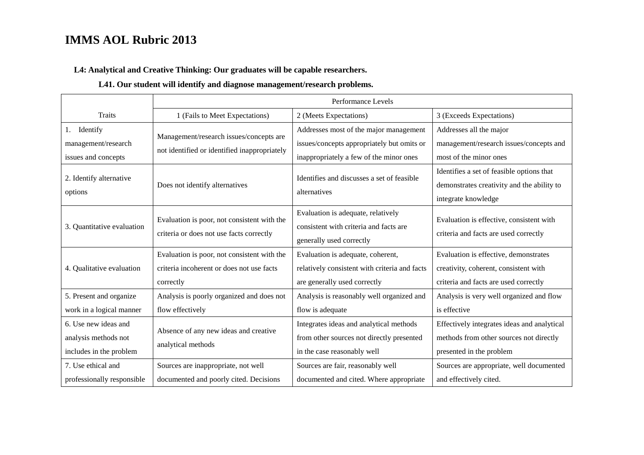**L4: Analytical and Creative Thinking: Our graduates will be capable researchers.**

### **L41. Our student will identify and diagnose management/research problems.**

|                                                                         | Performance Levels                                                                                    |                                                                                                                                 |                                                                                                                         |  |
|-------------------------------------------------------------------------|-------------------------------------------------------------------------------------------------------|---------------------------------------------------------------------------------------------------------------------------------|-------------------------------------------------------------------------------------------------------------------------|--|
| <b>Traits</b>                                                           | 1 (Fails to Meet Expectations)                                                                        | 2 (Meets Expectations)                                                                                                          | 3 (Exceeds Expectations)                                                                                                |  |
| Identify<br>1.<br>management/research<br>issues and concepts            | Management/research issues/concepts are<br>not identified or identified inappropriately               | Addresses most of the major management<br>issues/concepts appropriately but omits or<br>inappropriately a few of the minor ones | Addresses all the major<br>management/research issues/concepts and<br>most of the minor ones                            |  |
| 2. Identify alternative<br>options                                      | Does not identify alternatives                                                                        | Identifies and discusses a set of feasible<br>alternatives                                                                      | Identifies a set of feasible options that<br>demonstrates creativity and the ability to<br>integrate knowledge          |  |
| 3. Quantitative evaluation                                              | Evaluation is poor, not consistent with the<br>criteria or does not use facts correctly               | Evaluation is adequate, relatively<br>consistent with criteria and facts are<br>generally used correctly                        | Evaluation is effective, consistent with<br>criteria and facts are used correctly                                       |  |
| 4. Qualitative evaluation                                               | Evaluation is poor, not consistent with the<br>criteria incoherent or does not use facts<br>correctly | Evaluation is adequate, coherent,<br>relatively consistent with criteria and facts<br>are generally used correctly              | Evaluation is effective, demonstrates<br>creativity, coherent, consistent with<br>criteria and facts are used correctly |  |
| 5. Present and organize<br>work in a logical manner                     | Analysis is poorly organized and does not<br>flow effectively                                         | Analysis is reasonably well organized and<br>flow is adequate                                                                   | Analysis is very well organized and flow<br>is effective                                                                |  |
| 6. Use new ideas and<br>analysis methods not<br>includes in the problem | Absence of any new ideas and creative<br>analytical methods                                           | Integrates ideas and analytical methods<br>from other sources not directly presented<br>in the case reasonably well             | Effectively integrates ideas and analytical<br>methods from other sources not directly<br>presented in the problem      |  |
| 7. Use ethical and<br>professionally responsible                        | Sources are inappropriate, not well<br>documented and poorly cited. Decisions                         | Sources are fair, reasonably well<br>documented and cited. Where appropriate                                                    | Sources are appropriate, well documented<br>and effectively cited.                                                      |  |